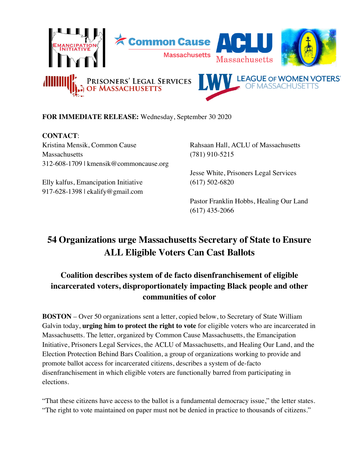

## **FOR IMMEDIATE RELEASE:** Wednesday, September 30 2020

**CONTACT**: Kristina Mensik, Common Cause Massachusetts 312-608-1709 | kmensik@commoncause.org

Elly kalfus, Emancipation Initiative 917-628-1398 | ekalify@gmail.com

Rahsaan Hall, ACLU of Massachusetts (781) 910-5215

Jesse White, Prisoners Legal Services (617) 502-6820

Pastor Franklin Hobbs, Healing Our Land (617) 435-2066

## **54 Organizations urge Massachusetts Secretary of State to Ensure ALL Eligible Voters Can Cast Ballots**

## **Coalition describes system of de facto disenfranchisement of eligible incarcerated voters, disproportionately impacting Black people and other communities of color**

**BOSTON** – Over 50 organizations sent a letter, copied below, to Secretary of State William Galvin today, **urging him to protect the right to vote** for eligible voters who are incarcerated in Massachusetts. The letter, organized by Common Cause Massachusetts, the Emancipation Initiative, Prisoners Legal Services, the ACLU of Massachusetts, and Healing Our Land, and the Election Protection Behind Bars Coalition, a group of organizations working to provide and promote ballot access for incarcerated citizens, describes a system of de-facto disenfranchisement in which eligible voters are functionally barred from participating in elections.

"That these citizens have access to the ballot is a fundamental democracy issue," the letter states. "The right to vote maintained on paper must not be denied in practice to thousands of citizens."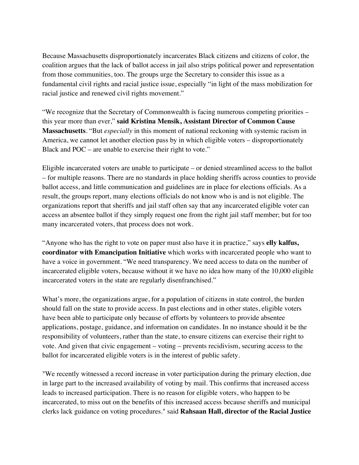Because Massachusetts disproportionately incarcerates Black citizens and citizens of color, the coalition argues that the lack of ballot access in jail also strips political power and representation from those communities, too. The groups urge the Secretary to consider this issue as a fundamental civil rights and racial justice issue, especially "in light of the mass mobilization for racial justice and renewed civil rights movement."

"We recognize that the Secretary of Commonwealth is facing numerous competing priorities – this year more than ever," **said Kristina Mensik, Assistant Director of Common Cause Massachusetts**. "But *especially* in this moment of national reckoning with systemic racism in America, we cannot let another election pass by in which eligible voters – disproportionately Black and POC – are unable to exercise their right to vote."

Eligible incarcerated voters are unable to participate – or denied streamlined access to the ballot – for multiple reasons. There are no standards in place holding sheriffs across counties to provide ballot access, and little communication and guidelines are in place for elections officials. As a result, the groups report, many elections officials do not know who is and is not eligible. The organizations report that sheriffs and jail staff often say that any incarcerated eligible voter can access an absentee ballot if they simply request one from the right jail staff member; but for too many incarcerated voters, that process does not work.

"Anyone who has the right to vote on paper must also have it in practice," says **elly kalfus, coordinator with Emancipation Initiative** which works with incarcerated people who want to have a voice in government. "We need transparency. We need access to data on the number of incarcerated eligible voters, because without it we have no idea how many of the 10,000 eligible incarcerated voters in the state are regularly disenfranchised."

What's more, the organizations argue, for a population of citizens in state control, the burden should fall on the state to provide access. In past elections and in other states, eligible voters have been able to participate only because of efforts by volunteers to provide absentee applications, postage, guidance, and information on candidates. In no instance should it be the responsibility of volunteers, rather than the state, to ensure citizens can exercise their right to vote. And given that civic engagement – voting – prevents recidivism, securing access to the ballot for incarcerated eligible voters is in the interest of public safety.

"We recently witnessed a record increase in voter participation during the primary election, due in large part to the increased availability of voting by mail. This confirms that increased access leads to increased participation. There is no reason for eligible voters, who happen to be incarcerated, to miss out on the benefits of this increased access because sheriffs and municipal clerks lack guidance on voting procedures." said **Rahsaan Hall, director of the Racial Justice**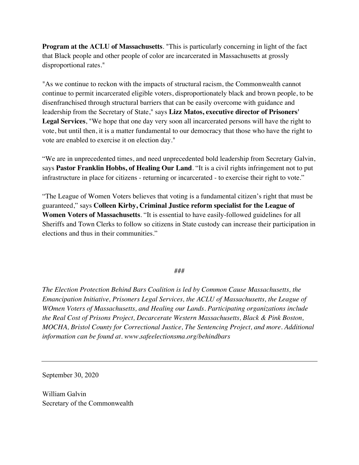**Program at the ACLU of Massachusetts**. "This is particularly concerning in light of the fact that Black people and other people of color are incarcerated in Massachusetts at grossly disproportional rates."

"As we continue to reckon with the impacts of structural racism, the Commonwealth cannot continue to permit incarcerated eligible voters, disproportionately black and brown people, to be disenfranchised through structural barriers that can be easily overcome with guidance and leadership from the Secretary of State," says **Lizz Matos, executive director of Prisoners' Legal Services**, "We hope that one day very soon all incarcerated persons will have the right to vote, but until then, it is a matter fundamental to our democracy that those who have the right to vote are enabled to exercise it on election day."

"We are in unprecedented times, and need unprecedented bold leadership from Secretary Galvin, says **Pastor Franklin Hobbs, of Healing Our Land**. "It is a civil rights infringement not to put infrastructure in place for citizens - returning or incarcerated - to exercise their right to vote."

"The League of Women Voters believes that voting is a fundamental citizen's right that must be guaranteed," says **Colleen Kirby, Criminal Justice reform specialist for the League of Women Voters of Massachusetts**. "It is essential to have easily-followed guidelines for all Sheriffs and Town Clerks to follow so citizens in State custody can increase their participation in elections and thus in their communities."

###

*The Election Protection Behind Bars Coalition is led by Common Cause Massachusetts, the Emancipation Initiative, Prisoners Legal Services, the ACLU of Massachusetts, the League of WOmen Voters of Massachusetts, and Healing our Lands. Participating organizations include the Real Cost of Prisons Project, Decarcerate Western Massachusetts, Black & Pink Boston, MOCHA, Bristol County for Correctional Justice, The Sentencing Project, and more. Additional information can be found at. www.safeelectionsma.org/behindbars*

September 30, 2020

William Galvin Secretary of the Commonwealth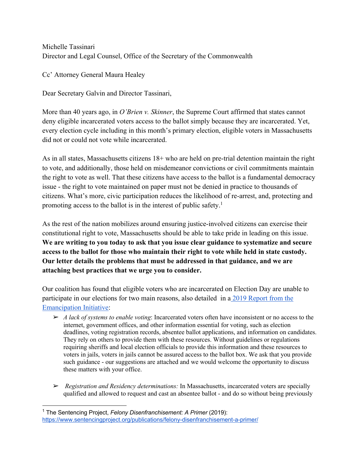Michelle Tassinari Director and Legal Counsel, Office of the Secretary of the Commonwealth

Cc' Attorney General Maura Healey

Dear Secretary Galvin and Director Tassinari,

More than 40 years ago, in *O'Brien v. Skinner*, the Supreme Court affirmed that states cannot deny eligible incarcerated voters access to the ballot simply because they are incarcerated. Yet, every election cycle including in this month's primary election, eligible voters in Massachusetts did not or could not vote while incarcerated.

As in all states, Massachusetts citizens 18+ who are held on pre-trial detention maintain the right to vote, and additionally, those held on misdemeanor convictions or civil commitments maintain the right to vote as well. That these citizens have access to the ballot is a fundamental democracy issue - the right to vote maintained on paper must not be denied in practice to thousands of citizens. What's more, civic participation reduces the likelihood of re-arrest, and, protecting and promoting access to the ballot is in the interest of public safety.<sup>1</sup>

As the rest of the nation mobilizes around ensuring justice-involved citizens can exercise their constitutional right to vote, Massachusetts should be able to take pride in leading on this issue. **We are writing to you today to ask that you issue clear guidance to systematize and secure access to the ballot for those who maintain their right to vote while held in state custody. Our letter details the problems that must be addressed in that guidance, and we are attaching best practices that we urge you to consider.** 

Our coalition has found that eligible voters who are incarcerated on Election Day are unable to participate in our elections for two main reasons, also detailed in a 2019 Report from the Emancipation Initiative:

- ➢ *A lack of systems to enable voting*: Incarcerated voters often have inconsistent or no access to the internet, government offices, and other information essential for voting, such as election deadlines, voting registration records, absentee ballot applications, and information on candidates. They rely on others to provide them with these resources. Without guidelines or regulations requiring sheriffs and local election officials to provide this information and these resources to voters in jails, voters in jails cannot be assured access to the ballot box. We ask that you provide such guidance - our suggestions are attached and we would welcome the opportunity to discuss these matters with your office.
- ➢ *Registration and Residency determinations:* In Massachusetts, incarcerated voters are specially qualified and allowed to request and cast an absentee ballot - and do so without being previously

<sup>1</sup> The Sentencing Project, *Felony Disenfranchisement: A Primer* (2019): https://www.sentencingproject.org/publications/felony-disenfranchisement-a-primer/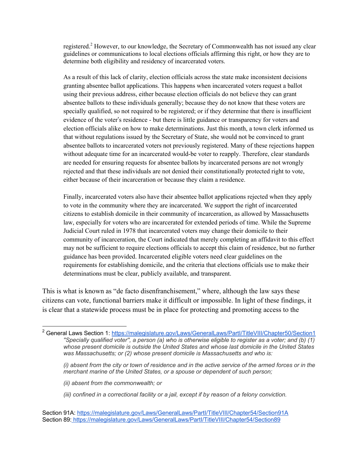registered.<sup>2</sup> However, to our knowledge, the Secretary of Commonwealth has not issued any clear guidelines or communications to local elections officials affirming this right, or how they are to determine both eligibility and residency of incarcerated voters.

As a result of this lack of clarity, election officials across the state make inconsistent decisions granting absentee ballot applications. This happens when incarcerated voters request a ballot using their previous address, either because election officials do not believe they can grant absentee ballots to these individuals generally; because they do not know that these voters are specially qualified, so not required to be registered; or if they determine that there is insufficient evidence of the voter's residence - but there is little guidance or transparency for voters and election officials alike on how to make determinations. Just this month, a town clerk informed us that without regulations issued by the Secretary of State, she would not be convinced to grant absentee ballots to incarcerated voters not previously registered. Many of these rejections happen without adequate time for an incarcerated would-be voter to reapply. Therefore, clear standards are needed for ensuring requests for absentee ballots by incarcerated persons are not wrongly rejected and that these individuals are not denied their constitutionally protected right to vote, either because of their incarceration or because they claim a residence.

Finally, incarcerated voters also have their absentee ballot applications rejected when they apply to vote in the community where they are incarcerated. We support the right of incarcerated citizens to establish domicile in their community of incarceration, as allowed by Massachusetts law, especially for voters who are incarcerated for extended periods of time. While the Supreme Judicial Court ruled in 1978 that incarcerated voters may change their domicile to their community of incarceration, the Court indicated that merely completing an affidavit to this effect may not be sufficient to require elections officials to accept this claim of residence, but no further guidance has been provided. Incarcerated eligible voters need clear guidelines on the requirements for establishing domicile, and the criteria that elections officials use to make their determinations must be clear, publicly available, and transparent.

This is what is known as "de facto disenfranchisement," where, although the law says these citizens can vote, functional barriers make it difficult or impossible. In light of these findings, it is clear that a statewide process must be in place for protecting and promoting access to the

- *(ii) absent from the commonwealth; or*
- *(iii) confined in a correctional facility or a jail, except if by reason of a felony conviction.*
- Section 91A: https://malegislature.gov/Laws/GeneralLaws/PartI/TitleVIII/Chapter54/Section91A Section 89: https://malegislature.gov/Laws/GeneralLaws/PartI/TitleVIII/Chapter54/Section89

<sup>&</sup>lt;sup>2</sup> General Laws Section 1: https://malegislature.gov/Laws/GeneralLaws/Partl/TitleVIII/Chapter50/Section1 *''Specially qualified voter'', a person (a) who is otherwise eligible to register as a voter; and (b) (1) whose present domicile is outside the United States and whose last domicile in the United States was Massachusetts; or (2) whose present domicile is Massachusetts and who is:*

*<sup>(</sup>i) absent from the city or town of residence and in the active service of the armed forces or in the merchant marine of the United States, or a spouse or dependent of such person;*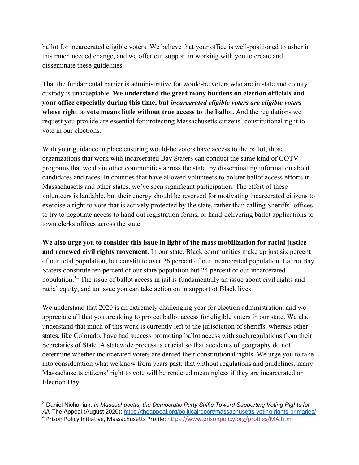ballot for incarcerated eligible voters. We believe that your office is well-positioned to usher in this much needed change, and we offer our support in working with you to create and disseminate these guidelines.

That the fundamental barrier is administrative for would-be voters who are in state and county custody is unacceptable. **We understand the great many burdens on election officials and your office especially during this time, but** *incarcerated eligible voters are eligible voters*  **whose right to vote means little without true access to the ballot.** And the regulations we request you provide are essential for protecting Massachusetts citizens' constitutional right to vote in our elections.

With your guidance in place ensuring would-be voters have access to the ballot, those organizations that work with incarcerated Bay Staters can conduct the same kind of GOTV programs that we do in other communities across the state, by disseminating information about candidates and races. In counties that have allowed volunteers to bolster ballot access efforts in Massachusetts and other states, we've seen significant participation. The effort of these volunteers is laudable, but their energy should be reserved for motivating incarcerated citizens to exercise a right to vote that is actively protected by the state, rather than calling Sheriffs' offices to try to negotiate access to hand out registration forms, or hand-delivering ballot applications to town clerks offices across the state.

**We also urge you to consider this issue in light of the mass mobilization for racial justice and renewed civil rights movement.** In our state, Black communities make up just six percent of our total population, but constitute over 26 percent of our incarcerated population. Latino Bay Staters constitute ten percent of our state population but 24 percent of our incarcerated population.34 The issue of ballot access in jail is fundamentally an issue about civil rights and racial equity, and an issue you can take action on in support of Black lives.

We understand that 2020 is an extremely challenging year for election administration, and we appreciate all that you are doing to protect ballot access for eligible voters in our state. We also understand that much of this work is currently left to the jurisdiction of sheriffs, whereas other states, like Colorado, have had success promoting ballot access with such regulations from their Secretaries of State. A statewide process is crucial so that accidents of geography do not determine whether incarcerated voters are denied their constitutional rights. We urge you to take into consideration what we know from years past: that without regulations and guidelines, many Massachusetts citizens' right to vote will be rendered meaningless if they are incarcerated on Election Day.

<sup>3</sup> Daniel Nichanian, *In Massachusetts, the Democratic Party Shifts Toward Supporting Voting Rights for All*. The Appeal (August 2020): https://theappeal.org/politicalreport/massachusetts-voting-rights-primaries/

<sup>4</sup> Prison Policy Initiative, Massachusetts Profile: https://www.prisonpolicy.org/profiles/MA.html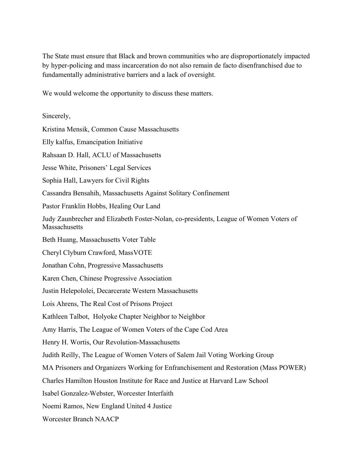The State must ensure that Black and brown communities who are disproportionately impacted by hyper-policing and mass incarceration do not also remain de facto disenfranchised due to fundamentally administrative barriers and a lack of oversight.

We would welcome the opportunity to discuss these matters.

## Sincerely,

Kristina Mensik, Common Cause Massachusetts

Elly kalfus, Emancipation Initiative

Rahsaan D. Hall, ACLU of Massachusetts

Jesse White, Prisoners' Legal Services

Sophia Hall, Lawyers for Civil Rights

Cassandra Bensahih, Massachusetts Against Solitary Confinement

Pastor Franklin Hobbs, Healing Our Land

Judy Zaunbrecher and Elizabeth Foster-Nolan, co-presidents, League of Women Voters of Massachusetts

Beth Huang, Massachusetts Voter Table

Cheryl Clyburn Crawford, MassVOTE

Jonathan Cohn, Progressive Massachusetts

Karen Chen, Chinese Progressive Association

Justin Helepololei, Decarcerate Western Massachusetts

Lois Ahrens, The Real Cost of Prisons Project

Kathleen Talbot, Holyoke Chapter Neighbor to Neighbor

Amy Harris, The League of Women Voters of the Cape Cod Area

Henry H. Wortis, Our Revolution-Massachusetts

Judith Reilly, The League of Women Voters of Salem Jail Voting Working Group

MA Prisoners and Organizers Working for Enfranchisement and Restoration (Mass POWER)

Charles Hamilton Houston Institute for Race and Justice at Harvard Law School

Isabel Gonzalez-Webster, Worcester Interfaith

Noemi Ramos, New England United 4 Justice

Worcester Branch NAACP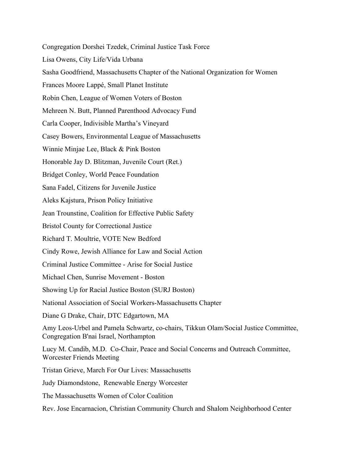Congregation Dorshei Tzedek, Criminal Justice Task Force Lisa Owens, City Life/Vida Urbana Sasha Goodfriend, Massachusetts Chapter of the National Organization for Women Frances Moore Lappé, Small Planet Institute Robin Chen, League of Women Voters of Boston Mehreen N. Butt, Planned Parenthood Advocacy Fund Carla Cooper, Indivisible Martha's Vineyard Casey Bowers, Environmental League of Massachusetts Winnie Minjae Lee, Black & Pink Boston Honorable Jay D. Blitzman, Juvenile Court (Ret.) Bridget Conley, World Peace Foundation Sana Fadel, Citizens for Juvenile Justice Aleks Kajstura, Prison Policy Initiative Jean Trounstine, Coalition for Effective Public Safety Bristol County for Correctional Justice Richard T. Moultrie, VOTE New Bedford Cindy Rowe, Jewish Alliance for Law and Social Action Criminal Justice Committee - Arise for Social Justice Michael Chen, Sunrise Movement - Boston Showing Up for Racial Justice Boston (SURJ Boston) National Association of Social Workers-Massachusetts Chapter Diane G Drake, Chair, DTC Edgartown, MA Amy Leos-Urbel and Pamela Schwartz, co-chairs, Tikkun Olam/Social Justice Committee, Congregation B'nai Israel, Northampton Lucy M. Candib, M.D. Co-Chair, Peace and Social Concerns and Outreach Committee, Worcester Friends Meeting Tristan Grieve, March For Our Lives: Massachusetts Judy Diamondstone, Renewable Energy Worcester The Massachusetts Women of Color Coalition Rev. Jose Encarnacion, Christian Community Church and Shalom Neighborhood Center